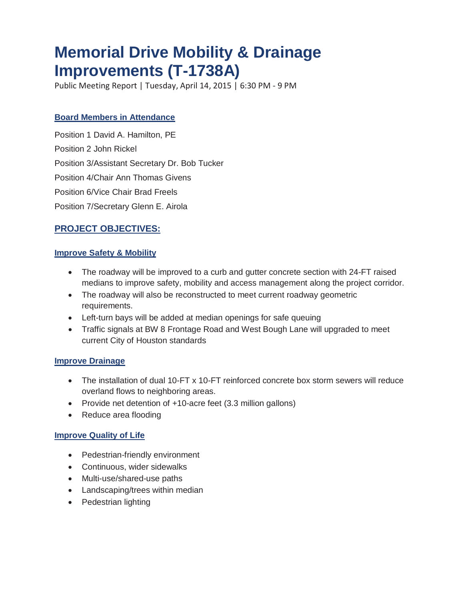# **Memorial Drive Mobility & Drainage Improvements (T-1738A)**

Public Meeting Report | Tuesday, April 14, 2015 | 6:30 PM - 9 PM

#### **Board Members in Attendance**

Position 1 David A. Hamilton, PE Position 2 John Rickel Position 3/Assistant Secretary Dr. Bob Tucker Position 4/Chair Ann Thomas Givens Position 6/Vice Chair Brad Freels Position 7/Secretary Glenn E. Airola

## **PROJECT OBJECTIVES:**

#### **Improve Safety & Mobility**

- The roadway will be improved to a curb and gutter concrete section with 24-FT raised medians to improve safety, mobility and access management along the project corridor.
- The roadway will also be reconstructed to meet current roadway geometric requirements.
- Left-turn bays will be added at median openings for safe queuing
- Traffic signals at BW 8 Frontage Road and West Bough Lane will upgraded to meet current City of Houston standards

#### **Improve Drainage**

- The installation of dual 10-FT x 10-FT reinforced concrete box storm sewers will reduce overland flows to neighboring areas.
- Provide net detention of +10-acre feet (3.3 million gallons)
- Reduce area flooding

#### **Improve Quality of Life**

- Pedestrian-friendly environment
- Continuous, wider sidewalks
- Multi-use/shared-use paths
- Landscaping/trees within median
- Pedestrian lighting